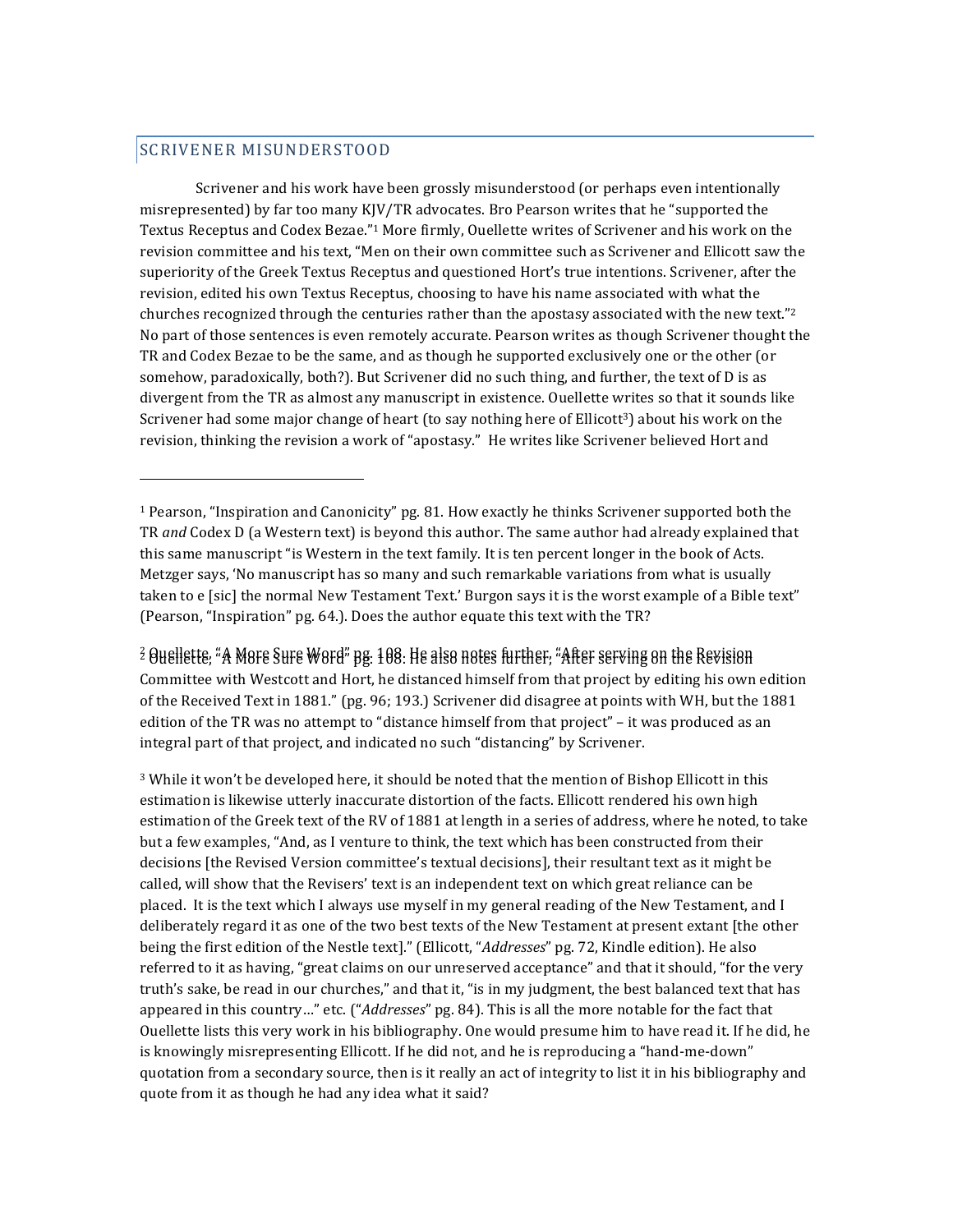## SCRIVENER MISUNDERSTOOD

 

Scrivener and his work have been grossly misunderstood (or perhaps even intentionally misrepresented) by far too many  $K|V/TR$  advocates. Bro Pearson writes that he "supported the Textus Receptus and Codex Bezae."<sup>1</sup> More firmly, Ouellette writes of Scrivener and his work on the revision committee and his text, "Men on their own committee such as Scrivener and Ellicott saw the superiority of the Greek Textus Receptus and questioned Hort's true intentions. Scrivener, after the revision, edited his own Textus Receptus, choosing to have his name associated with what the churches recognized through the centuries rather than the apostasy associated with the new text."<sup>2</sup> No part of those sentences is even remotely accurate. Pearson writes as though Scrivener thought the TR and Codex Bezae to be the same, and as though he supported exclusively one or the other (or somehow, paradoxically, both?). But Scrivener did no such thing, and further, the text of D is as divergent from the TR as almost any manuscript in existence. Ouellette writes so that it sounds like Scrivener had some major change of heart (to say nothing here of Ellicott<sup>3</sup>) about his work on the revision, thinking the revision a work of "apostasy." He writes like Scrivener believed Hort and

 $\widehat{z}$  Ouellette, "A More Sure Word" <code>ng. 1</code>08. He also notes further, "After serving on the Revision Committee with Westcott and Hort, he distanced himself from that project by editing his own edition of the Received Text in 1881." (pg. 96; 193.) Scrivener did disagree at points with WH, but the 1881 edition of the TR was no attempt to "distance himself from that project" – it was produced as an integral part of that project, and indicated no such "distancing" by Scrivener.

 $3$  While it won't be developed here, it should be noted that the mention of Bishop Ellicott in this estimation is likewise utterly inaccurate distortion of the facts. Ellicott rendered his own high estimation of the Greek text of the RV of 1881 at length in a series of address, where he noted, to take but a few examples, "And, as I venture to think, the text which has been constructed from their decisions [the Revised Version committee's textual decisions], their resultant text as it might be called, will show that the Revisers' text is an independent text on which great reliance can be placed. It is the text which I always use myself in my general reading of the New Testament, and I deliberately regard it as one of the two best texts of the New Testament at present extant [the other being the first edition of the Nestle text]." (Ellicott, "*Addresses*" pg. 72, Kindle edition). He also referred to it as having, "great claims on our unreserved acceptance" and that it should, "for the very truth's sake, be read in our churches," and that it, "is in my judgment, the best balanced text that has appeared in this country…" etc. ("*Addresses*" pg. 84). This is all the more notable for the fact that Ouellette lists this very work in his bibliography. One would presume him to have read it. If he did, he is knowingly misrepresenting Ellicott. If he did not, and he is reproducing a "hand-me-down" quotation from a secondary source, then is it really an act of integrity to list it in his bibliography and quote from it as though he had any idea what it said?

 $1$  Pearson, "Inspiration and Canonicity" pg. 81. How exactly he thinks Scrivener supported both the TR *and* Codex D (a Western text) is beyond this author. The same author had already explained that this same manuscript "is Western in the text family. It is ten percent longer in the book of Acts. Metzger says, 'No manuscript has so many and such remarkable variations from what is usually taken to e [sic] the normal New Testament Text.' Burgon says it is the worst example of a Bible text" (Pearson, "Inspiration" pg. 64.). Does the author equate this text with the TR?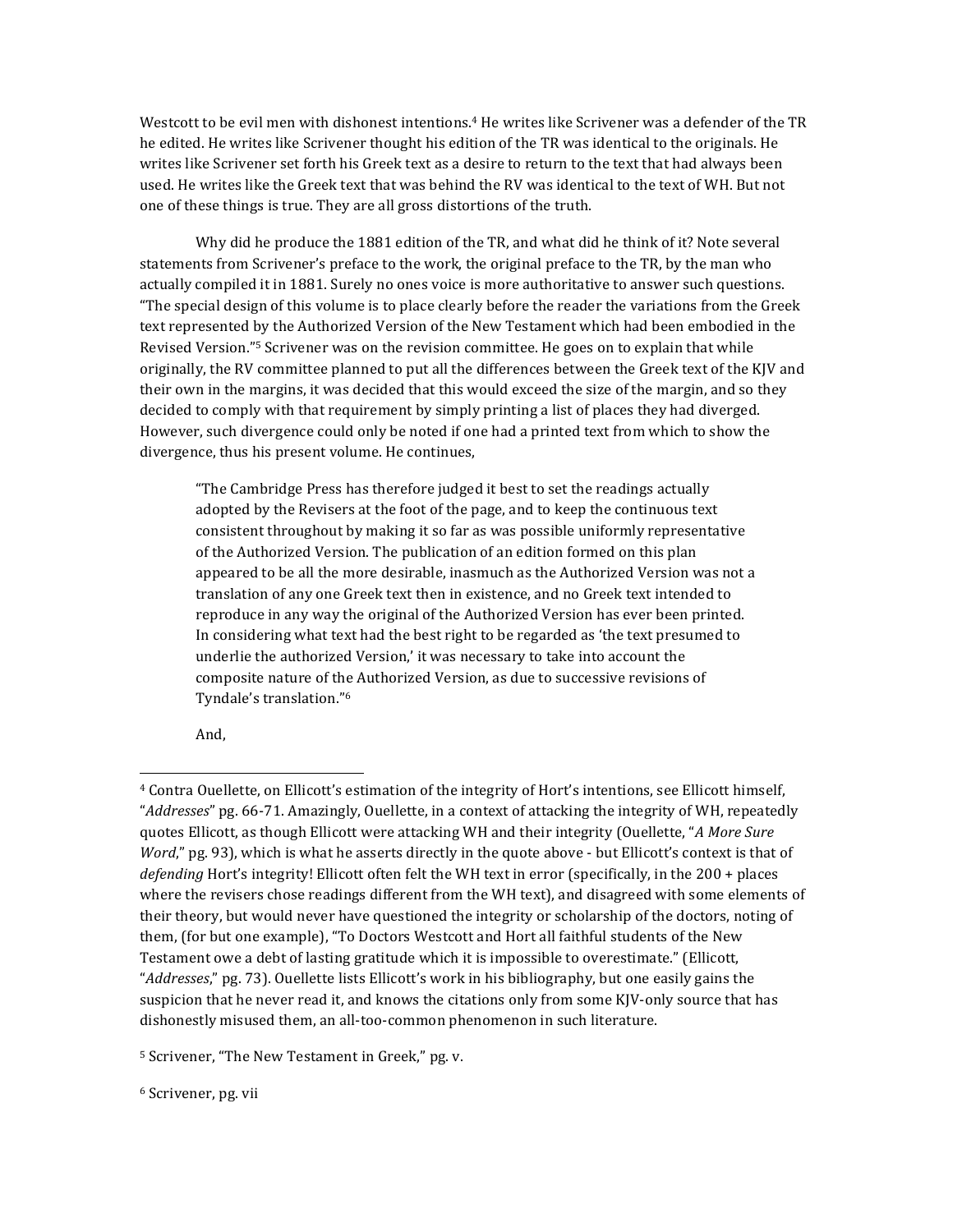Westcott to be evil men with dishonest intentions.<sup>4</sup> He writes like Scrivener was a defender of the TR he edited. He writes like Scrivener thought his edition of the TR was identical to the originals. He writes like Scrivener set forth his Greek text as a desire to return to the text that had always been used. He writes like the Greek text that was behind the RV was identical to the text of WH. But not one of these things is true. They are all gross distortions of the truth.

Why did he produce the 1881 edition of the TR, and what did he think of it? Note several statements from Scrivener's preface to the work, the original preface to the TR, by the man who actually compiled it in 1881. Surely no ones voice is more authoritative to answer such questions. "The special design of this volume is to place clearly before the reader the variations from the Greek text represented by the Authorized Version of the New Testament which had been embodied in the Revised Version."<sup>5</sup> Scrivener was on the revision committee. He goes on to explain that while originally, the RV committee planned to put all the differences between the Greek text of the KJV and their own in the margins, it was decided that this would exceed the size of the margin, and so they decided to comply with that requirement by simply printing a list of places they had diverged. However, such divergence could only be noted if one had a printed text from which to show the divergence, thus his present volume. He continues,

"The Cambridge Press has therefore judged it best to set the readings actually adopted by the Revisers at the foot of the page, and to keep the continuous text consistent throughout by making it so far as was possible uniformly representative of the Authorized Version. The publication of an edition formed on this plan appeared to be all the more desirable, inasmuch as the Authorized Version was not a translation of any one Greek text then in existence, and no Greek text intended to reproduce in any way the original of the Authorized Version has ever been printed. In considering what text had the best right to be regarded as 'the text presumed to underlie the authorized Version,' it was necessary to take into account the composite nature of the Authorized Version, as due to successive revisions of Tyndale's translation."<sup>6</sup>

And, 

<u> 1989 - Johann Stein, fransk politik (d. 1989)</u>

<sup>&</sup>lt;sup>4</sup> Contra Ouellette, on Ellicott's estimation of the integrity of Hort's intentions, see Ellicott himself, "*Addresses*" pg. 66-71. Amazingly, Ouellette, in a context of attacking the integrity of WH, repeatedly quotes Ellicott, as though Ellicott were attacking WH and their integrity (Ouellette, "*A More Sure Word*," pg. 93), which is what he asserts directly in the quote above - but Ellicott's context is that of *defending* Hort's integrity! Ellicott often felt the WH text in error (specifically, in the 200 + places where the revisers chose readings different from the WH text), and disagreed with some elements of their theory, but would never have questioned the integrity or scholarship of the doctors, noting of them, (for but one example), "To Doctors Westcott and Hort all faithful students of the New Testament owe a debt of lasting gratitude which it is impossible to overestimate." (Ellicott, "*Addresses*," pg. 73). Ouellette lists Ellicott's work in his bibliography, but one easily gains the suspicion that he never read it, and knows the citations only from some KJV-only source that has dishonestly misused them, an all-too-common phenomenon in such literature.

<sup>&</sup>lt;sup>5</sup> Scrivener, "The New Testament in Greek," pg. v.

<sup>&</sup>lt;sup>6</sup> Scrivener, pg. vii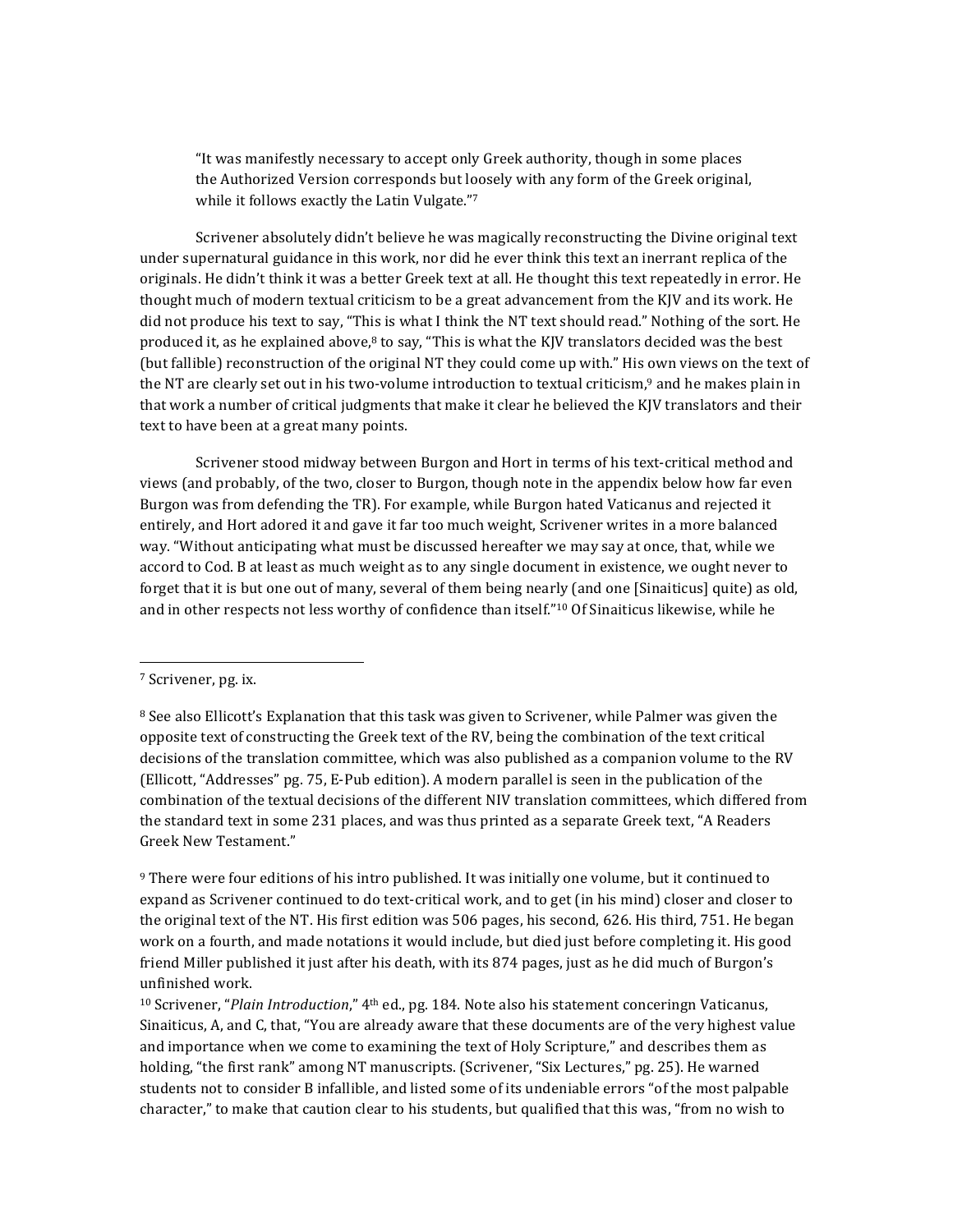"It was manifestly necessary to accept only Greek authority, though in some places the Authorized Version corresponds but loosely with any form of the Greek original, while it follows exactly the Latin Vulgate."7

Scrivener absolutely didn't believe he was magically reconstructing the Divine original text under supernatural guidance in this work, nor did he ever think this text an inerrant replica of the originals. He didn't think it was a better Greek text at all. He thought this text repeatedly in error. He thought much of modern textual criticism to be a great advancement from the KJV and its work. He did not produce his text to say, "This is what I think the NT text should read." Nothing of the sort. He produced it, as he explained above, $8$  to say, "This is what the KJV translators decided was the best (but fallible) reconstruction of the original NT they could come up with." His own views on the text of the NT are clearly set out in his two-volume introduction to textual criticism,<sup>9</sup> and he makes plain in that work a number of critical judgments that make it clear he believed the KJV translators and their text to have been at a great many points.

Scrivener stood midway between Burgon and Hort in terms of his text-critical method and views (and probably, of the two, closer to Burgon, though note in the appendix below how far even Burgon was from defending the TR). For example, while Burgon hated Vaticanus and rejected it entirely, and Hort adored it and gave it far too much weight, Scrivener writes in a more balanced way. "Without anticipating what must be discussed hereafter we may say at once, that, while we accord to Cod. B at least as much weight as to any single document in existence, we ought never to forget that it is but one out of many, several of them being nearly (and one [Sinaiticus] quite) as old, and in other respects not less worthy of confidence than itself."<sup>10</sup> Of Sinaiticus likewise, while he

<sup>&</sup>lt;sup>7</sup> Scrivener, pg. ix.

 $8$  See also Ellicott's Explanation that this task was given to Scrivener, while Palmer was given the opposite text of constructing the Greek text of the RV, being the combination of the text critical decisions of the translation committee, which was also published as a companion volume to the RV (Ellicott, "Addresses" pg. 75, E-Pub edition). A modern parallel is seen in the publication of the combination of the textual decisions of the different NIV translation committees, which differed from the standard text in some 231 places, and was thus printed as a separate Greek text, "A Readers Greek New Testament."

 $9$  There were four editions of his intro published. It was initially one volume, but it continued to expand as Scrivener continued to do text-critical work, and to get (in his mind) closer and closer to the original text of the NT. His first edition was 506 pages, his second, 626. His third, 751. He began work on a fourth, and made notations it would include, but died just before completing it. His good friend Miller published it just after his death, with its 874 pages, just as he did much of Burgon's unfinished work.

 $10$  Scrivener, "*Plain Introduction*,"  $4<sup>th</sup>$  ed., pg. 184. Note also his statement conceringn Vaticanus, Sinaiticus, A, and C, that, "You are already aware that these documents are of the very highest value and importance when we come to examining the text of Holy Scripture," and describes them as holding, "the first rank" among NT manuscripts. (Scrivener, "Six Lectures," pg. 25). He warned students not to consider B infallible, and listed some of its undeniable errors "of the most palpable character," to make that caution clear to his students, but qualified that this was, "from no wish to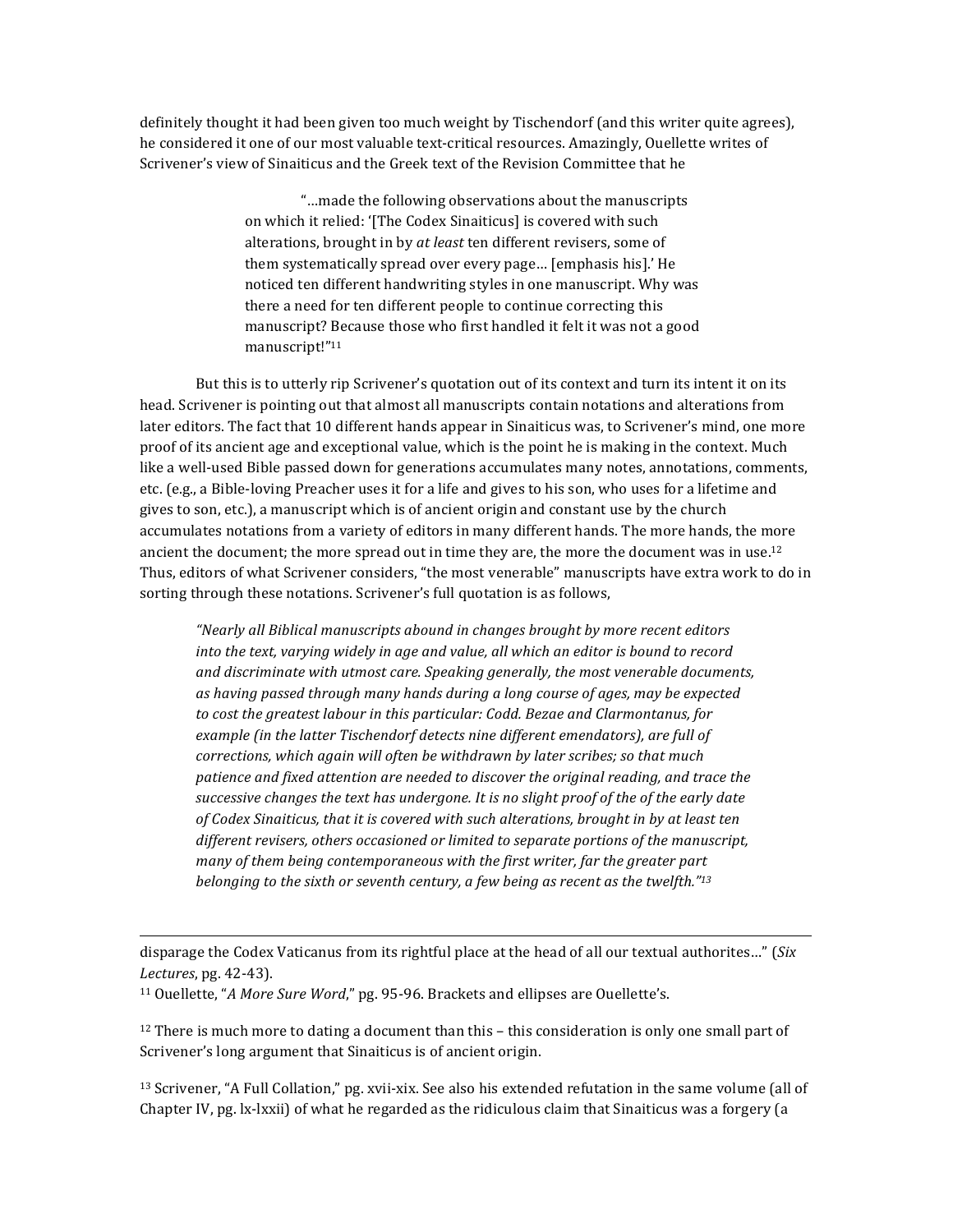definitely thought it had been given too much weight by Tischendorf (and this writer quite agrees), he considered it one of our most valuable text-critical resources. Amazingly, Quellette writes of Scrivener's view of Sinaiticus and the Greek text of the Revision Committee that he

> "...made the following observations about the manuscripts on which it relied: '[The Codex Sinaiticus] is covered with such alterations, brought in by *at least* ten different revisers, some of them systematically spread over every page... [emphasis his].' He noticed ten different handwriting styles in one manuscript. Why was there a need for ten different people to continue correcting this manuscript? Because those who first handled it felt it was not a good manuscript!"11

But this is to utterly rip Scrivener's quotation out of its context and turn its intent it on its head. Scrivener is pointing out that almost all manuscripts contain notations and alterations from later editors. The fact that 10 different hands appear in Sinaiticus was, to Scrivener's mind, one more proof of its ancient age and exceptional value, which is the point he is making in the context. Much like a well-used Bible passed down for generations accumulates many notes, annotations, comments, etc. (e.g., a Bible-loving Preacher uses it for a life and gives to his son, who uses for a lifetime and gives to son, etc.), a manuscript which is of ancient origin and constant use by the church accumulates notations from a variety of editors in many different hands. The more hands, the more ancient the document; the more spread out in time they are, the more the document was in use.<sup>12</sup> Thus, editors of what Scrivener considers, "the most venerable" manuscripts have extra work to do in sorting through these notations. Scrivener's full quotation is as follows,

*"Nearly all Biblical manuscripts abound in changes brought by more recent editors into the text, varying widely in age and value, all which an editor is bound to record and discriminate with utmost care. Speaking generally, the most venerable documents,* as having passed through many hands during a long course of ages, may be expected *to* cost the greatest labour in this particular: Codd. Bezae and Clarmontanus, for example (in the latter Tischendorf detects nine different emendators), are full of *corrections, which again will often be withdrawn by later scribes; so that much* patience and fixed attention are needed to discover the original reading, and trace the successive changes the text has undergone. It is no slight proof of the of the early date of Codex Sinaiticus, that it is covered with such alterations, brought in by at least ten different revisers, others occasioned or limited to separate portions of the manuscript, *many* of them being contemporaneous with the first writer, far the greater part *belonging* to the sixth or seventh century, a few being as recent as the twelfth."<sup>13</sup>

disparage the Codex Vaticanus from its rightful place at the head of all our textual authorites..." (*Six Lectures*, pg. 42-43).

 

<sup>11</sup> Ouellette, "*A More Sure Word*," pg. 95-96. Brackets and ellipses are Ouellette's.

 $12$  There is much more to dating a document than this – this consideration is only one small part of Scrivener's long argument that Sinaiticus is of ancient origin.

 $13$  Scrivener, "A Full Collation," pg. xvii-xix. See also his extended refutation in the same volume (all of Chapter IV,  $pg.$  lx-lxxii) of what he regarded as the ridiculous claim that Sinaiticus was a forgery (a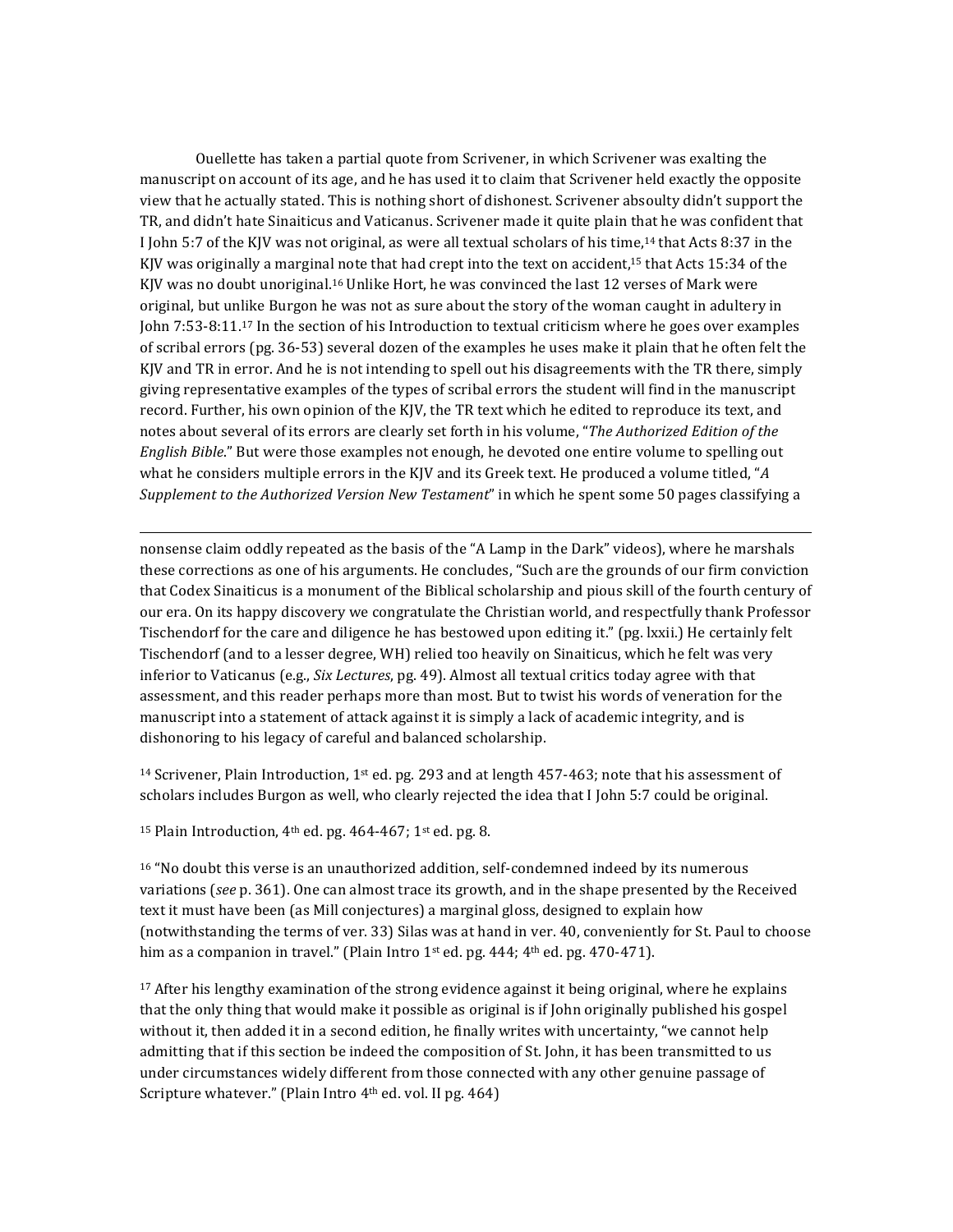Ouellette has taken a partial quote from Scrivener, in which Scrivener was exalting the manuscript on account of its age, and he has used it to claim that Scrivener held exactly the opposite view that he actually stated. This is nothing short of dishonest. Scrivener absoulty didn't support the TR, and didn't hate Sinaiticus and Vaticanus. Scrivener made it quite plain that he was confident that I John 5:7 of the KJV was not original, as were all textual scholars of his time,<sup>14</sup> that Acts 8:37 in the KJV was originally a marginal note that had crept into the text on accident,<sup>15</sup> that Acts 15:34 of the KJV was no doubt unoriginal.<sup>16</sup> Unlike Hort, he was convinced the last 12 verses of Mark were original, but unlike Burgon he was not as sure about the story of the woman caught in adultery in John 7:53-8:11.<sup>17</sup> In the section of his Introduction to textual criticism where he goes over examples of scribal errors (pg. 36-53) several dozen of the examples he uses make it plain that he often felt the KJV and TR in error. And he is not intending to spell out his disagreements with the TR there, simply giving representative examples of the types of scribal errors the student will find in the manuscript record. Further, his own opinion of the KJV, the TR text which he edited to reproduce its text, and notes about several of its errors are clearly set forth in his volume, "*The Authorized Edition of the English Bible*." But were those examples not enough, he devoted one entire volume to spelling out what he considers multiple errors in the KJV and its Greek text. He produced a volume titled, "A *Supplement to the Authorized Version New Testament*" in which he spent some 50 pages classifying a

nonsense claim oddly repeated as the basis of the "A Lamp in the Dark" videos), where he marshals these corrections as one of his arguments. He concludes, "Such are the grounds of our firm conviction that Codex Sinaiticus is a monument of the Biblical scholarship and pious skill of the fourth century of our era. On its happy discovery we congratulate the Christian world, and respectfully thank Professor Tischendorf for the care and diligence he has bestowed upon editing it." (pg. lxxii.) He certainly felt Tischendorf (and to a lesser degree, WH) relied too heavily on Sinaiticus, which he felt was very inferior to Vaticanus (e.g., *Six Lectures*, pg. 49). Almost all textual critics today agree with that assessment, and this reader perhaps more than most. But to twist his words of veneration for the manuscript into a statement of attack against it is simply a lack of academic integrity, and is dishonoring to his legacy of careful and balanced scholarship.

 

<sup>14</sup> Scrivener, Plain Introduction, 1<sup>st</sup> ed. pg. 293 and at length 457-463; note that his assessment of scholars includes Burgon as well, who clearly rejected the idea that I John 5:7 could be original.

<sup>15</sup> Plain Introduction,  $4<sup>th</sup>$  ed. pg.  $464-467$ ;  $1<sup>st</sup>$  ed. pg. 8.

 $16$  "No doubt this verse is an unauthorized addition, self-condemned indeed by its numerous variations (see p. 361). One can almost trace its growth, and in the shape presented by the Received text it must have been (as Mill conjectures) a marginal gloss, designed to explain how (notwithstanding the terms of ver. 33) Silas was at hand in ver. 40, conveniently for St. Paul to choose him as a companion in travel." (Plain Intro  $1<sup>st</sup>$  ed. pg. 444; 4<sup>th</sup> ed. pg. 470-471).

 $17$  After his lengthy examination of the strong evidence against it being original, where he explains that the only thing that would make it possible as original is if John originally published his gospel without it, then added it in a second edition, he finally writes with uncertainty, "we cannot help admitting that if this section be indeed the composition of St. John, it has been transmitted to us under circumstances widely different from those connected with any other genuine passage of Scripture whatever." (Plain Intro 4<sup>th</sup> ed. vol. II pg. 464)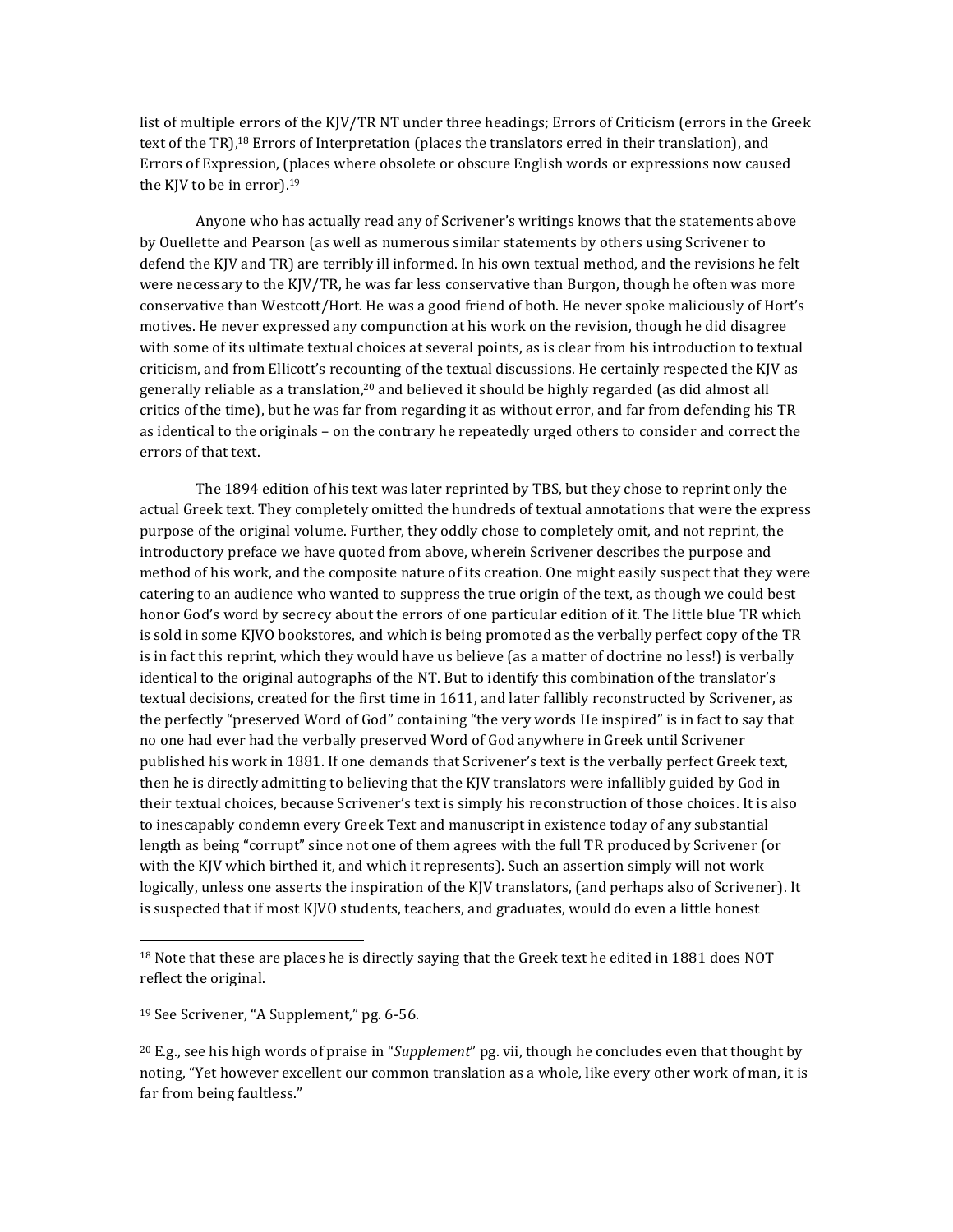list of multiple errors of the KJV/TR NT under three headings; Errors of Criticism (errors in the Greek text of the TR),<sup>18</sup> Errors of Interpretation (places the translators erred in their translation), and Errors of Expression, (places where obsolete or obscure English words or expressions now caused the KJV to be in error).<sup>19</sup>

Anyone who has actually read any of Scrivener's writings knows that the statements above by Ouellette and Pearson (as well as numerous similar statements by others using Scrivener to defend the KJV and TR) are terribly ill informed. In his own textual method, and the revisions he felt were necessary to the KJV/TR, he was far less conservative than Burgon, though he often was more conservative than Westcott/Hort. He was a good friend of both. He never spoke maliciously of Hort's motives. He never expressed any compunction at his work on the revision, though he did disagree with some of its ultimate textual choices at several points, as is clear from his introduction to textual criticism, and from Ellicott's recounting of the textual discussions. He certainly respected the KJV as generally reliable as a translation,<sup>20</sup> and believed it should be highly regarded (as did almost all critics of the time), but he was far from regarding it as without error, and far from defending his TR as identical to the originals – on the contrary he repeatedly urged others to consider and correct the errors of that text.

The 1894 edition of his text was later reprinted by TBS, but they chose to reprint only the actual Greek text. They completely omitted the hundreds of textual annotations that were the express purpose of the original volume. Further, they oddly chose to completely omit, and not reprint, the introductory preface we have quoted from above, wherein Scrivener describes the purpose and method of his work, and the composite nature of its creation. One might easily suspect that they were catering to an audience who wanted to suppress the true origin of the text, as though we could best honor God's word by secrecy about the errors of one particular edition of it. The little blue TR which is sold in some KJVO bookstores, and which is being promoted as the verbally perfect copy of the TR is in fact this reprint, which they would have us believe (as a matter of doctrine no less!) is verbally identical to the original autographs of the NT. But to identify this combination of the translator's textual decisions, created for the first time in 1611, and later fallibly reconstructed by Scrivener, as the perfectly "preserved Word of God" containing "the very words He inspired" is in fact to say that no one had ever had the verbally preserved Word of God anywhere in Greek until Scrivener published his work in 1881. If one demands that Scrivener's text is the verbally perfect Greek text, then he is directly admitting to believing that the KJV translators were infallibly guided by God in their textual choices, because Scrivener's text is simply his reconstruction of those choices. It is also to inescapably condemn every Greek Text and manuscript in existence today of any substantial length as being "corrupt" since not one of them agrees with the full TR produced by Scrivener (or with the KJV which birthed it, and which it represents). Such an assertion simply will not work logically, unless one asserts the inspiration of the KJV translators, (and perhaps also of Scrivener). It is suspected that if most KJVO students, teachers, and graduates, would do even a little honest

<sup>&</sup>lt;sup>18</sup> Note that these are places he is directly saying that the Greek text he edited in 1881 does NOT reflect the original.

 $19$  See Scrivener, "A Supplement," pg. 6-56.

<sup>&</sup>lt;sup>20</sup> E.g., see his high words of praise in "*Supplement*" pg. vii, though he concludes even that thought by noting, "Yet however excellent our common translation as a whole, like every other work of man, it is far from being faultless."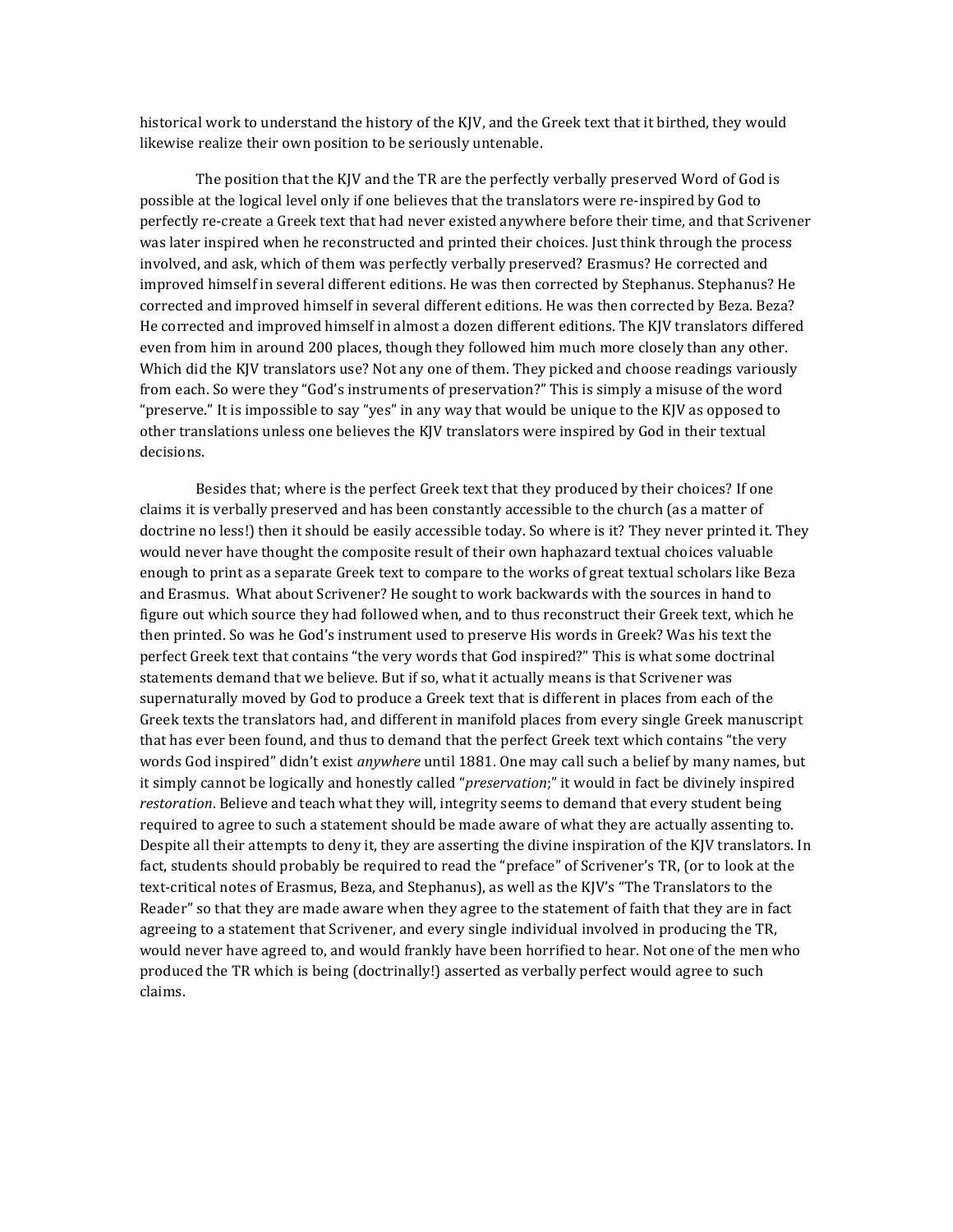historical work to understand the history of the KJV, and the Greek text that it birthed, they would likewise realize their own position to be seriously untenable.

The position that the KJV and the TR are the perfectly verbally preserved Word of God is possible at the logical level only if one believes that the translators were re-inspired by God to perfectly re-create a Greek text that had never existed anywhere before their time, and that Scrivener was later inspired when he reconstructed and printed their choices. Just think through the process involved, and ask, which of them was perfectly verbally preserved? Erasmus? He corrected and improved himself in several different editions. He was then corrected by Stephanus. Stephanus? He corrected and improved himself in several different editions. He was then corrected by Beza. Beza? He corrected and improved himself in almost a dozen different editions. The KJV translators differed even from him in around 200 places, though they followed him much more closely than any other. Which did the KJV translators use? Not any one of them. They picked and choose readings variously from each. So were they "God's instruments of preservation?" This is simply a misuse of the word "preserve." It is impossible to say "yes" in any way that would be unique to the KJV as opposed to other translations unless one believes the KJV translators were inspired by God in their textual decisions. 

Besides that; where is the perfect Greek text that they produced by their choices? If one claims it is verbally preserved and has been constantly accessible to the church (as a matter of doctrine no less!) then it should be easily accessible today. So where is it? They never printed it. They would never have thought the composite result of their own haphazard textual choices valuable enough to print as a separate Greek text to compare to the works of great textual scholars like Beza and Erasmus. What about Scrivener? He sought to work backwards with the sources in hand to figure out which source they had followed when, and to thus reconstruct their Greek text, which he then printed. So was he God's instrument used to preserve His words in Greek? Was his text the perfect Greek text that contains "the very words that God inspired?" This is what some doctrinal statements demand that we believe. But if so, what it actually means is that Scrivener was supernaturally moved by God to produce a Greek text that is different in places from each of the Greek texts the translators had, and different in manifold places from every single Greek manuscript that has ever been found, and thus to demand that the perfect Greek text which contains "the very words God inspired" didn't exist anywhere until 1881. One may call such a belief by many names, but it simply cannot be logically and honestly called "*preservation*;" it would in fact be divinely inspired restoration. Believe and teach what they will, integrity seems to demand that every student being required to agree to such a statement should be made aware of what they are actually assenting to. Despite all their attempts to deny it, they are asserting the divine inspiration of the KJV translators. In fact, students should probably be required to read the "preface" of Scrivener's TR, (or to look at the text-critical notes of Erasmus, Beza, and Stephanus), as well as the KJV's "The Translators to the Reader" so that they are made aware when they agree to the statement of faith that they are in fact agreeing to a statement that Scrivener, and every single individual involved in producing the TR, would never have agreed to, and would frankly have been horrified to hear. Not one of the men who produced the TR which is being (doctrinally!) asserted as verbally perfect would agree to such claims.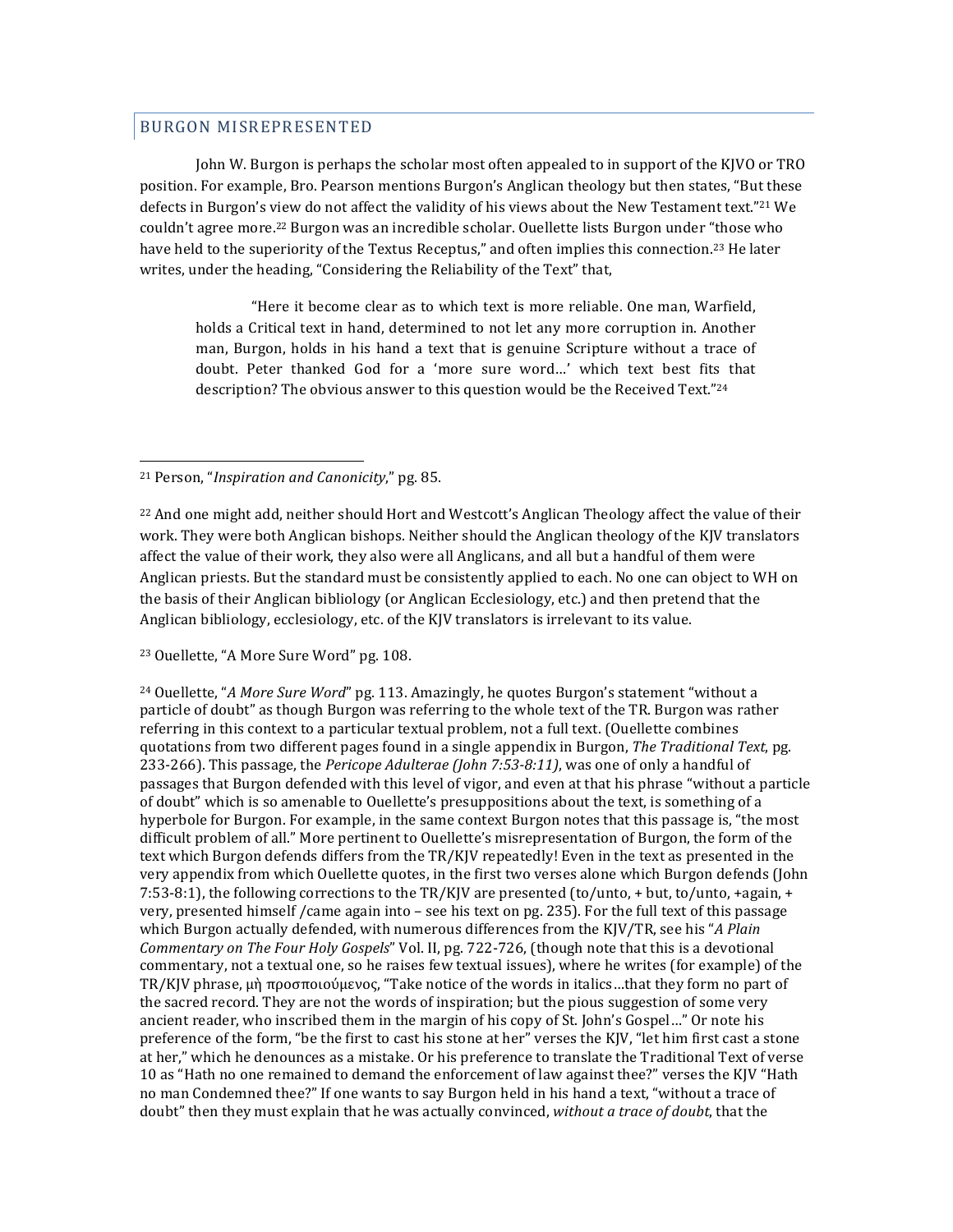## BURGON MISREPRESENTED

John W. Burgon is perhaps the scholar most often appealed to in support of the KJVO or TRO position. For example, Bro. Pearson mentions Burgon's Anglican theology but then states, "But these defects in Burgon's view do not affect the validity of his views about the New Testament text."<sup>21</sup> We couldn't agree more.<sup>22</sup> Burgon was an incredible scholar. Ouellette lists Burgon under "those who have held to the superiority of the Textus Receptus," and often implies this connection.<sup>23</sup> He later writes, under the heading, "Considering the Reliability of the Text" that,

"Here it become clear as to which text is more reliable. One man, Warfield, holds a Critical text in hand, determined to not let any more corruption in. Another man, Burgon, holds in his hand a text that is genuine Scripture without a trace of doubt. Peter thanked God for a 'more sure word...' which text best fits that description? The obvious answer to this question would be the Received Text."<sup>24</sup>

<u> 1989 - Johann Stein, fransk politik (d. 1989)</u>

 $^{22}$  And one might add, neither should Hort and Westcott's Anglican Theology affect the value of their work. They were both Anglican bishops. Neither should the Anglican theology of the KJV translators affect the value of their work, they also were all Anglicans, and all but a handful of them were Anglican priests. But the standard must be consistently applied to each. No one can object to WH on the basis of their Anglican bibliology (or Anglican Ecclesiology, etc.) and then pretend that the Anglican bibliology, ecclesiology, etc. of the KJV translators is irrelevant to its value.

<sup>23</sup> Ouellette, "A More Sure Word" pg. 108.

<sup>24</sup> Ouellette, "A More Sure Word" pg. 113. Amazingly, he quotes Burgon's statement "without a particle of doubt" as though Burgon was referring to the whole text of the TR. Burgon was rather referring in this context to a particular textual problem, not a full text. (Ouellette combines quotations from two different pages found in a single appendix in Burgon, *The Traditional Text*, pg. 233-266). This passage, the *Pericope Adulterae (John 7:53-8:11)*, was one of only a handful of passages that Burgon defended with this level of vigor, and even at that his phrase "without a particle" of doubt" which is so amenable to Ouellette's presuppositions about the text, is something of a hyperbole for Burgon. For example, in the same context Burgon notes that this passage is, "the most difficult problem of all." More pertinent to Ouellette's misrepresentation of Burgon, the form of the text which Burgon defends differs from the TR/KJV repeatedly! Even in the text as presented in the very appendix from which Quellette quotes, in the first two verses alone which Burgon defends (John 7:53-8:1), the following corrections to the TR/KJV are presented (to/unto, + but, to/unto, +again, + very, presented himself /came again into – see his text on pg. 235). For the full text of this passage which Burgon actually defended, with numerous differences from the KJV/TR, see his "A Plain *Commentary on The Four Holy Gospels*" Vol. II, pg. 722-726, (though note that this is a devotional commentary, not a textual one, so he raises few textual issues), where he writes (for example) of the TR/KJV phrase,  $\mu$ ή προσποιούμενος, "Take notice of the words in italics...that they form no part of the sacred record. They are not the words of inspiration; but the pious suggestion of some very ancient reader, who inscribed them in the margin of his copy of St. John's Gospel..." Or note his preference of the form, "be the first to cast his stone at her" verses the KJV, "let him first cast a stone at her," which he denounces as a mistake. Or his preference to translate the Traditional Text of verse 10 as "Hath no one remained to demand the enforcement of law against thee?" verses the KJV "Hath no man Condemned thee?" If one wants to say Burgon held in his hand a text, "without a trace of doubt" then they must explain that he was actually convinced, without a trace of doubt, that the

<sup>&</sup>lt;sup>21</sup> Person, "*Inspiration and Canonicity*," pg. 85.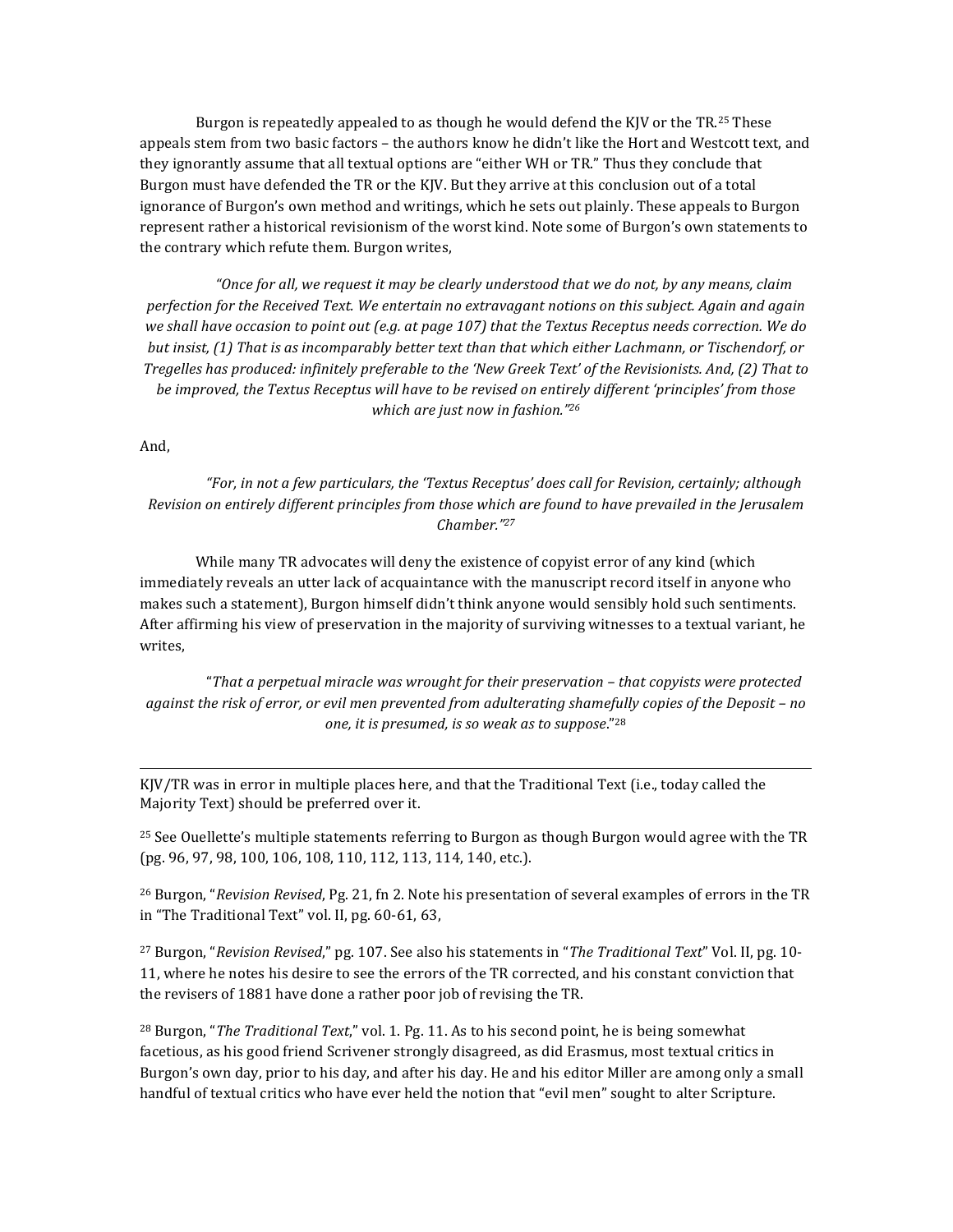Burgon is repeatedly appealed to as though he would defend the KJV or the  $TR^{25}$  These appeals stem from two basic factors – the authors know he didn't like the Hort and Westcott text, and they ignorantly assume that all textual options are "either WH or TR." Thus they conclude that Burgon must have defended the TR or the KJV. But they arrive at this conclusion out of a total ignorance of Burgon's own method and writings, which he sets out plainly. These appeals to Burgon represent rather a historical revisionism of the worst kind. Note some of Burgon's own statements to the contrary which refute them. Burgon writes,

"Once for all, we request it may be clearly understood that we do not, by any means, claim *perfection for the Received Text. We entertain no extravagant notions on this subject. Again and again* we shall have occasion to point out (e.g. at page 107) that the Textus Receptus needs correction. We do *but insist,* (1) That is as incomparably better text than that which either Lachmann, or Tischendorf, or *Tregelles has produced: infinitely preferable to the 'New Greek Text' of the Revisionists. And, (2) That to be* improved, the Textus Receptus will have to be revised on entirely different 'principles' from those *which are just now in fashion."26* 

And, 

*"For, in not a few particulars, the 'Textus Receptus' does call for Revision, certainly; although Revision* on entirely different principles from those which are found to have prevailed in the Jerusalem *Chamber."27*

While many TR advocates will deny the existence of copyist error of any kind (which immediately reveals an utter lack of acquaintance with the manuscript record itself in anyone who makes such a statement), Burgon himself didn't think anyone would sensibly hold such sentiments. After affirming his view of preservation in the majority of surviving witnesses to a textual variant, he writes, 

"*That a perpetual miracle was wrought for their preservation – that copyists were protected against the risk of error, or evil men prevented from adulterating shamefully copies of the Deposit – no one, it is presumed, is so weak as to suppose.*"28

 

 $K|V/TR$  was in error in multiple places here, and that the Traditional Text (i.e., today called the Majority Text) should be preferred over it.

<sup>25</sup> See Ouellette's multiple statements referring to Burgon as though Burgon would agree with the TR (pg. 96, 97, 98, 100, 106, 108, 110, 112, 113, 114, 140, etc.).

<sup>26</sup> Burgon, "*Revision Revised*, Pg. 21, fn 2. Note his presentation of several examples of errors in the TR in "The Traditional Text" vol. II, pg.  $60-61$ ,  $63$ ,

<sup>27</sup> Burgon, "*Revision Revised*," pg. 107. See also his statements in "*The Traditional Text*" Vol. II, pg. 10-11, where he notes his desire to see the errors of the TR corrected, and his constant conviction that the revisers of 1881 have done a rather poor job of revising the TR.

<sup>28</sup> Burgon, "*The Traditional Text*," vol. 1. Pg. 11. As to his second point, he is being somewhat facetious, as his good friend Scrivener strongly disagreed, as did Erasmus, most textual critics in Burgon's own day, prior to his day, and after his day. He and his editor Miller are among only a small handful of textual critics who have ever held the notion that "evil men" sought to alter Scripture.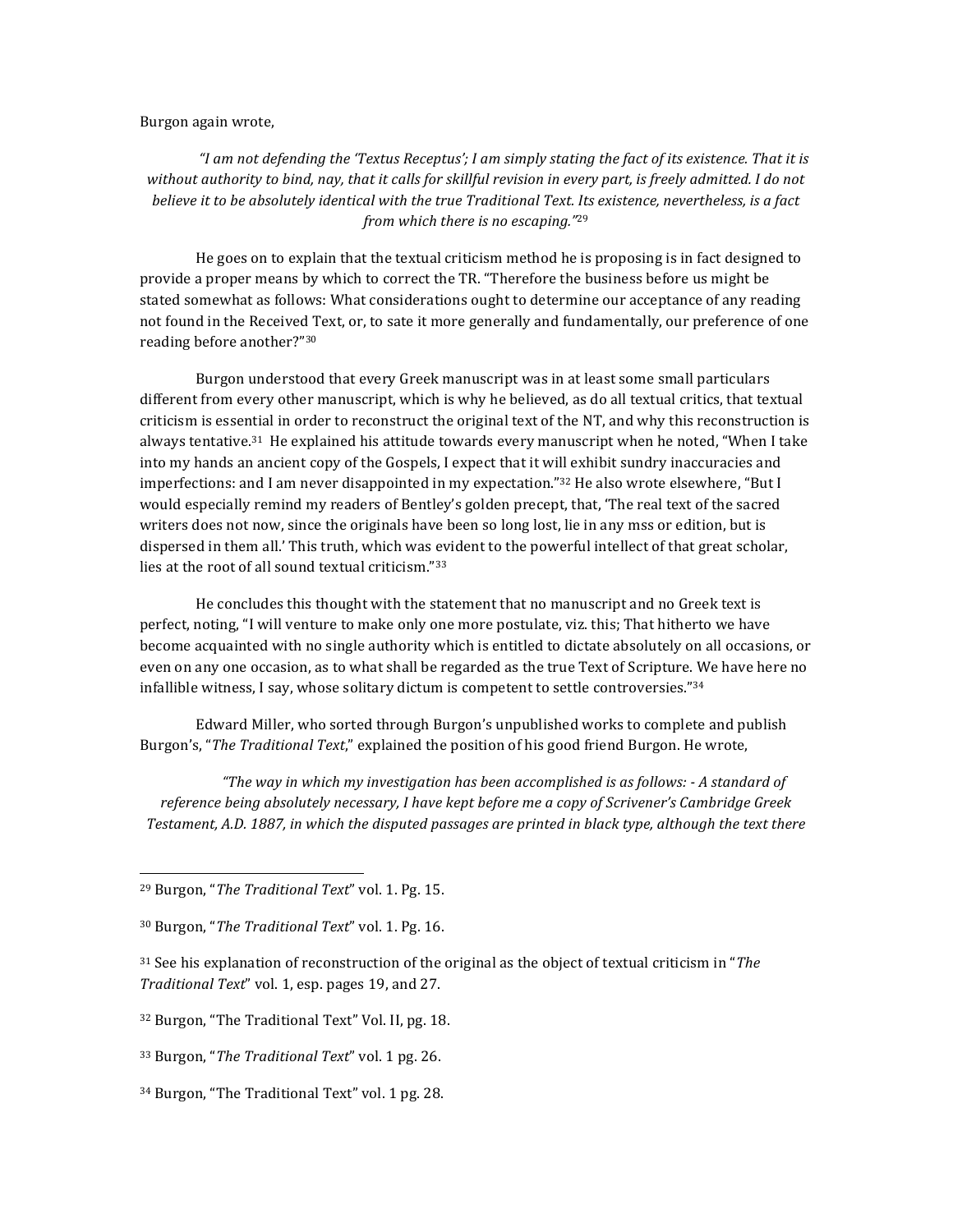## Burgon again wrote,

"I am not defending the 'Textus Receptus'; I am simply stating the fact of its existence. That it is without authority to bind, nay, that it calls for skillful revision in every part, is freely admitted. I do not *believe* it to be absolutely identical with the true Traditional Text. Its existence, nevertheless, is a fact *from which there is no escaping.*"<sup>29</sup>

He goes on to explain that the textual criticism method he is proposing is in fact designed to provide a proper means by which to correct the TR. "Therefore the business before us might be stated somewhat as follows: What considerations ought to determine our acceptance of any reading not found in the Received Text, or, to sate it more generally and fundamentally, our preference of one reading before another?"30

Burgon understood that every Greek manuscript was in at least some small particulars different from every other manuscript, which is why he believed, as do all textual critics, that textual criticism is essential in order to reconstruct the original text of the NT, and why this reconstruction is always tentative.<sup>31</sup> He explained his attitude towards every manuscript when he noted, "When I take into my hands an ancient copy of the Gospels, I expect that it will exhibit sundry inaccuracies and imperfections: and I am never disappointed in my expectation."<sup>32</sup> He also wrote elsewhere, "But I would especially remind my readers of Bentley's golden precept, that, 'The real text of the sacred writers does not now, since the originals have been so long lost, lie in any mss or edition, but is dispersed in them all.' This truth, which was evident to the powerful intellect of that great scholar, lies at the root of all sound textual criticism."33

He concludes this thought with the statement that no manuscript and no Greek text is perfect, noting, "I will venture to make only one more postulate, viz. this; That hitherto we have become acquainted with no single authority which is entitled to dictate absolutely on all occasions, or even on any one occasion, as to what shall be regarded as the true Text of Scripture. We have here no infallible witness, I say, whose solitary dictum is competent to settle controversies." $34$ 

Edward Miller, who sorted through Burgon's unpublished works to complete and publish Burgon's, "The Traditional Text," explained the position of his good friend Burgon. He wrote,

*"The way in which my investigation has been accomplished is as follows: - A standard of reference being absolutely necessary, I have kept before me a copy of Scrivener's Cambridge Greek* Testament, A.D. 1887, in which the disputed passages are printed in black type, although the text there

 

<sup>31</sup> See his explanation of reconstruction of the original as the object of textual criticism in "*The Traditional Text"* vol. 1, esp. pages 19, and 27.

 $34$  Burgon, "The Traditional Text" vol. 1 pg. 28.

<sup>&</sup>lt;sup>29</sup> Burgon, "The Traditional Text" vol. 1. Pg. 15.

<sup>&</sup>lt;sup>30</sup> Burgon, "*The Traditional Text*" vol. 1. Pg. 16.

<sup>32</sup> Burgon, "The Traditional Text" Vol. II, pg. 18.

<sup>&</sup>lt;sup>33</sup> Burgon, "*The Traditional Text*" vol. 1 pg. 26.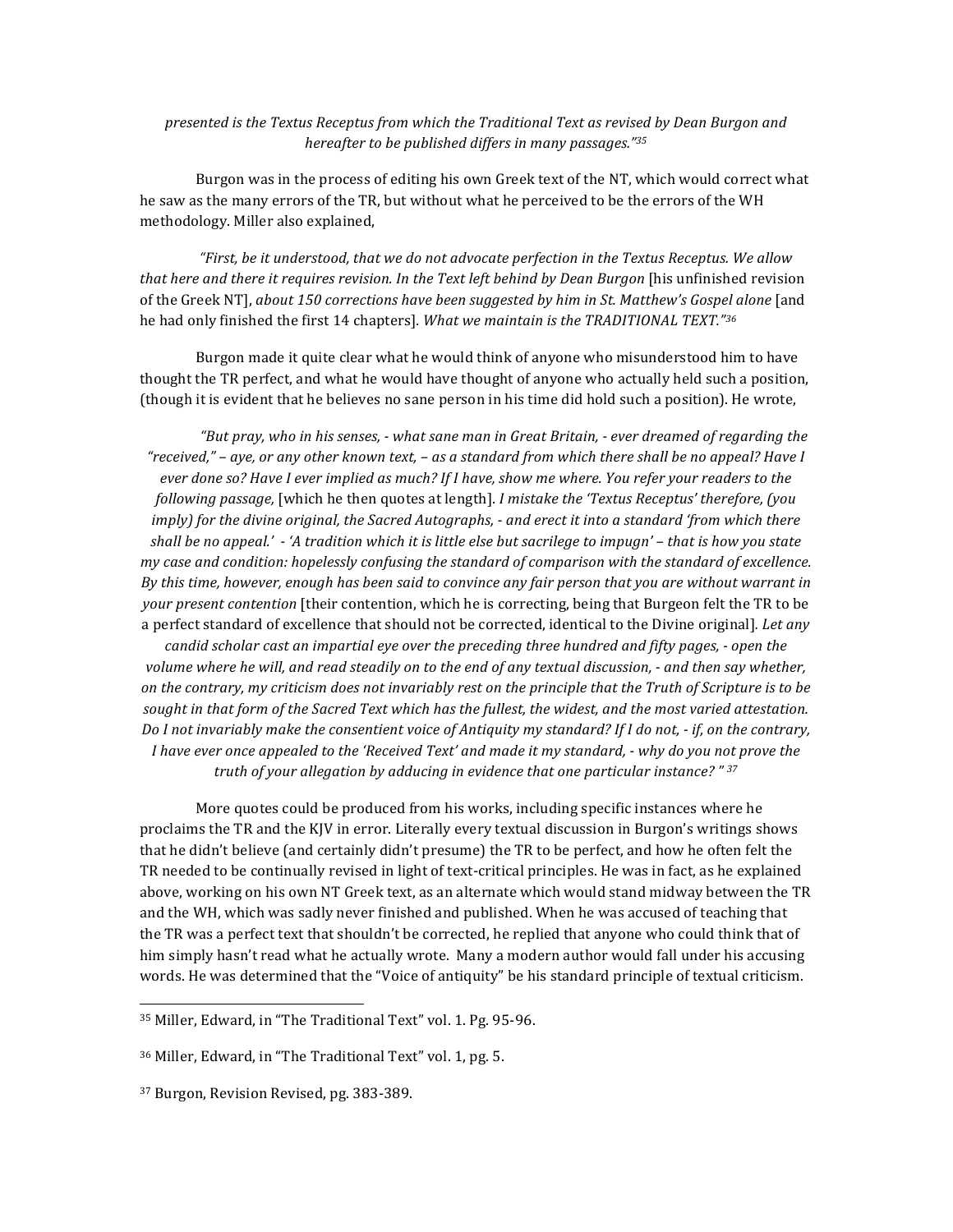## *presented is the Textus Receptus from which the Traditional Text as revised by Dean Burgon and hereafter to be published differs in many passages.*"<sup>35</sup>

Burgon was in the process of editing his own Greek text of the NT, which would correct what he saw as the many errors of the TR, but without what he perceived to be the errors of the WH methodology. Miller also explained,

*"First, be it understood, that we do not advocate perfection in the Textus Receptus. We allow that here and there it requires revision. In the Text left behind by Dean Burgon* [his unfinished revision of the Greek NT], *about* 150 corrections have been suggested by him in St. Matthew's Gospel alone [and he had only finished the first 14 chapters]. What we maintain is the TRADITIONAL TEXT."36

Burgon made it quite clear what he would think of anyone who misunderstood him to have thought the TR perfect, and what he would have thought of anyone who actually held such a position, (though it is evident that he believes no sane person in his time did hold such a position). He wrote,

"But pray, who in his senses, - what sane man in Great Britain, - ever dreamed of regarding the *"received," – aye, or any other known text, – as a standard from which there shall be no appeal? Have I ever done so? Have I ever implied as much? If I have, show me where. You refer your readers to the following passage,* [which he then quotes at length]. *I mistake the 'Textus Receptus' therefore, (you imply)* for the divine original, the Sacred Autographs, - and erect it into a standard 'from which there *shall* be no appeal.'  $\cdot$  'A tradition which it is little else but sacrilege to impugn' – that is how you state *my* case and condition: hopelessly confusing the standard of comparison with the standard of excellence. *By* this time, however, enough has been said to convince any fair person that you are without warrant in *your present contention* [their contention, which he is correcting, being that Burgeon felt the TR to be a perfect standard of excellence that should not be corrected, identical to the Divine original]. Let any *candid scholar cast an impartial eye over the preceding three hundred and fifty pages, - open the volume* where he will, and read steadily on to the end of any textual discussion, - and then say whether, *on* the contrary, my criticism does not invariably rest on the principle that the Truth of Scripture is to be sought in that form of the Sacred Text which has the fullest, the widest, and the most varied attestation. *Do I not invariably make the consentient voice of Antiquity my standard?* If I do not, - if, on the contrary, *I* have ever once appealed to the 'Received Text' and made it my standard, - why do you not prove the *truth* of your allegation by adducing in evidence that one particular instance? " 37

More quotes could be produced from his works, including specific instances where he proclaims the TR and the KJV in error. Literally every textual discussion in Burgon's writings shows that he didn't believe (and certainly didn't presume) the TR to be perfect, and how he often felt the TR needed to be continually revised in light of text-critical principles. He was in fact, as he explained above, working on his own NT Greek text, as an alternate which would stand midway between the TR and the WH, which was sadly never finished and published. When he was accused of teaching that the TR was a perfect text that shouldn't be corrected, he replied that anyone who could think that of him simply hasn't read what he actually wrote. Many a modern author would fall under his accusing words. He was determined that the "Voice of antiquity" be his standard principle of textual criticism.

<sup>35</sup> Miller, Edward, in "The Traditional Text" vol. 1. Pg. 95-96.

<sup>36</sup> Miller, Edward, in "The Traditional Text" vol. 1, pg. 5.

<sup>&</sup>lt;sup>37</sup> Burgon, Revision Revised, pg. 383-389.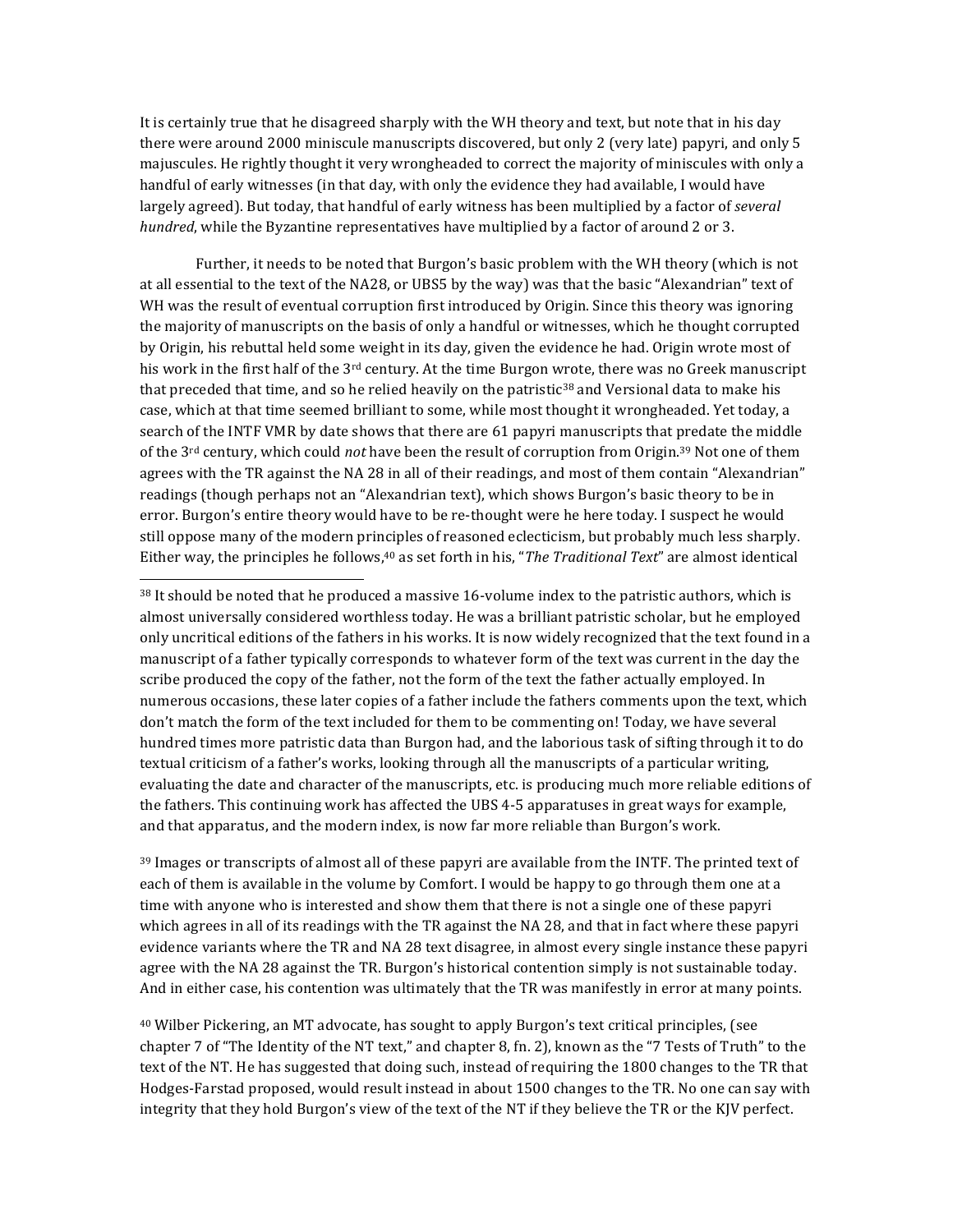It is certainly true that he disagreed sharply with the WH theory and text, but note that in his day there were around 2000 miniscule manuscripts discovered, but only 2 (very late) papyri, and only 5 majuscules. He rightly thought it very wrongheaded to correct the majority of miniscules with only a handful of early witnesses (in that day, with only the evidence they had available, I would have largely agreed). But today, that handful of early witness has been multiplied by a factor of *several hundred*, while the Byzantine representatives have multiplied by a factor of around 2 or 3.

Further, it needs to be noted that Burgon's basic problem with the WH theory (which is not at all essential to the text of the NA28, or UBS5 by the way) was that the basic "Alexandrian" text of WH was the result of eventual corruption first introduced by Origin. Since this theory was ignoring the majority of manuscripts on the basis of only a handful or witnesses, which he thought corrupted by Origin, his rebuttal held some weight in its day, given the evidence he had. Origin wrote most of his work in the first half of the  $3^{rd}$  century. At the time Burgon wrote, there was no Greek manuscript that preceded that time, and so he relied heavily on the patristic<sup>38</sup> and Versional data to make his case, which at that time seemed brilliant to some, while most thought it wrongheaded. Yet today, a search of the INTF VMR by date shows that there are 61 papyri manuscripts that predate the middle of the 3<sup>rd</sup> century, which could *not* have been the result of corruption from Origin.<sup>39</sup> Not one of them agrees with the TR against the NA 28 in all of their readings, and most of them contain "Alexandrian" readings (though perhaps not an "Alexandrian text), which shows Burgon's basic theory to be in error. Burgon's entire theory would have to be re-thought were he here today. I suspect he would still oppose many of the modern principles of reasoned eclecticism, but probably much less sharply. Either way, the principles he follows,<sup>40</sup> as set forth in his, "*The Traditional Text*" are almost identical

 $38$  It should be noted that he produced a massive 16-volume index to the patristic authors, which is almost universally considered worthless today. He was a brilliant patristic scholar, but he employed only uncritical editions of the fathers in his works. It is now widely recognized that the text found in a manuscript of a father typically corresponds to whatever form of the text was current in the day the scribe produced the copy of the father, not the form of the text the father actually employed. In numerous occasions, these later copies of a father include the fathers comments upon the text, which don't match the form of the text included for them to be commenting on! Today, we have several hundred times more patristic data than Burgon had, and the laborious task of sifting through it to do textual criticism of a father's works, looking through all the manuscripts of a particular writing, evaluating the date and character of the manuscripts, etc. is producing much more reliable editions of the fathers. This continuing work has affected the UBS 4-5 apparatuses in great ways for example, and that apparatus, and the modern index, is now far more reliable than Burgon's work.

 

<sup>39</sup> Images or transcripts of almost all of these papyri are available from the INTF. The printed text of each of them is available in the volume by Comfort. I would be happy to go through them one at a time with anyone who is interested and show them that there is not a single one of these papyri which agrees in all of its readings with the TR against the NA 28, and that in fact where these papyri evidence variants where the TR and NA 28 text disagree, in almost every single instance these papyri agree with the NA 28 against the TR. Burgon's historical contention simply is not sustainable today. And in either case, his contention was ultimately that the TR was manifestly in error at many points.

 $40$  Wilber Pickering, an MT advocate, has sought to apply Burgon's text critical principles, (see chapter 7 of "The Identity of the NT text," and chapter 8, fn. 2), known as the "7 Tests of Truth" to the text of the NT. He has suggested that doing such, instead of requiring the 1800 changes to the TR that Hodges-Farstad proposed, would result instead in about 1500 changes to the TR. No one can say with integrity that they hold Burgon's view of the text of the NT if they believe the TR or the KJV perfect.